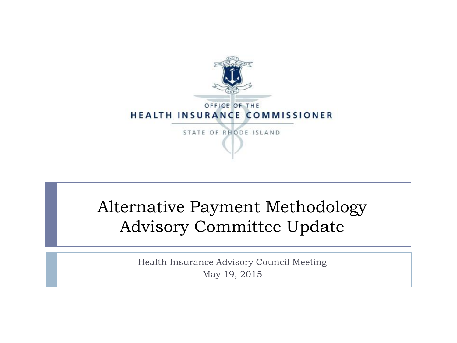

#### Alternative Payment Methodology Advisory Committee Update

Health Insurance Advisory Council Meeting May 19, 2015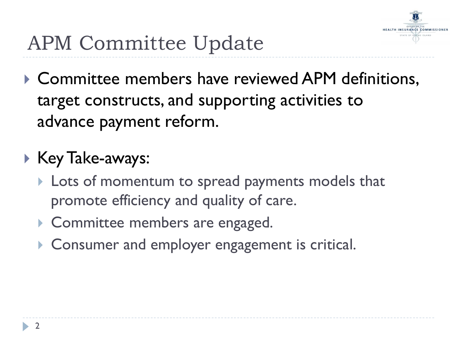

- ▶ Committee members have reviewed APM definitions, target constructs, and supporting activities to advance payment reform.
- ▶ Key Take-aways:
	- **Lots of momentum to spread payments models that** promote efficiency and quality of care.
	- Committee members are engaged.
	- Consumer and employer engagement is critical.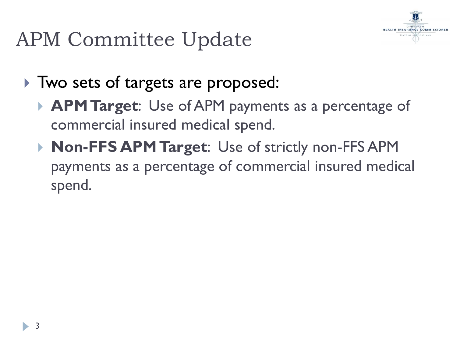

- Two sets of targets are proposed:
	- **APM Target**: Use of APM payments as a percentage of commercial insured medical spend.
	- **Non-FFS APM Target**: Use of strictly non-FFS APM payments as a percentage of commercial insured medical spend.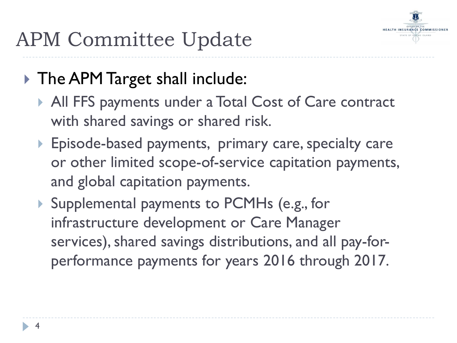

#### ▶ The APM Target shall include:

- All FFS payments under a Total Cost of Care contract with shared savings or shared risk.
- Episode-based payments, primary care, specialty care or other limited scope-of-service capitation payments, and global capitation payments.
- ▶ Supplemental payments to PCMHs (e.g., for infrastructure development or Care Manager services), shared savings distributions, and all pay-forperformance payments for years 2016 through 2017.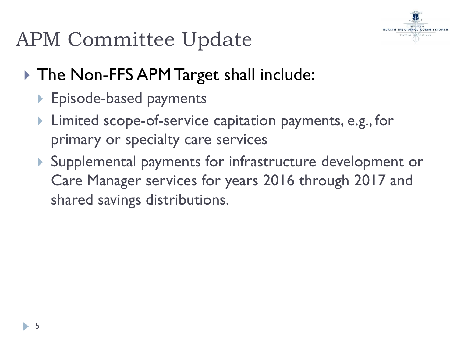

- ▶ The Non-FFS APM Target shall include:
	- ▶ Episode-based payments
	- Limited scope-of-service capitation payments, e.g., for primary or specialty care services
	- Supplemental payments for infrastructure development or Care Manager services for years 2016 through 2017 and shared savings distributions.